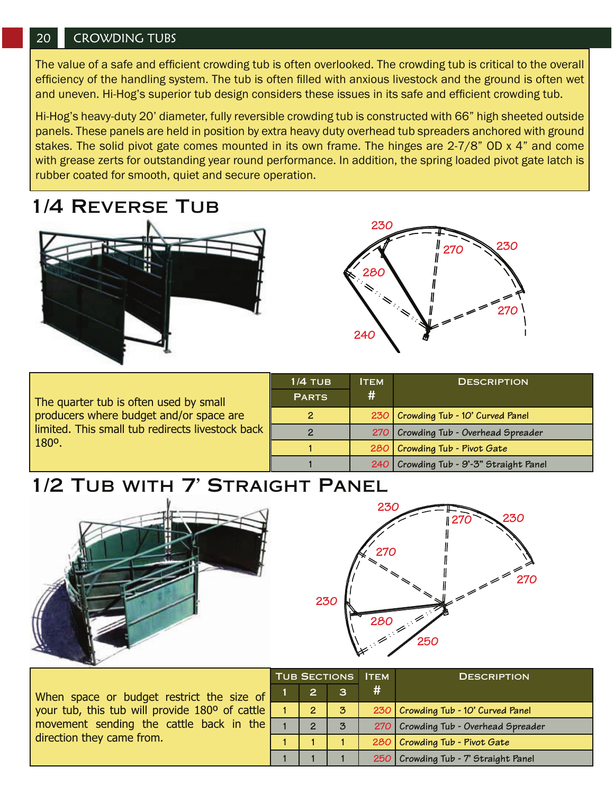#### 20 CROWDING TUBS

The value of a safe and efficient crowding tub is often overlooked. The crowding tub is critical to the overall efficiency of the handling system. The tub is often filled with anxious livestock and the ground is often wet and uneven. Hi-Hog's superior tub design considers these issues in its safe and efficient crowding tub.

Hi-Hog's heavy-duty 20' diameter, fully reversible crowding tub is constructed with 66" high sheeted outside panels. These panels are held in position by extra heavy duty overhead tub spreaders anchored with ground stakes. The solid pivot gate comes mounted in its own frame. The hinges are 2-7/8" OD x 4" and come with grease zerts for outstanding year round performance. In addition, the spring loaded pivot gate latch is rubber coated for smooth, quiet and secure operation.

### 1/4 Reverse Tub





The quarter tub is often used by small producers where budget and/or space are limited. This small tub redirects livestock back 180º.

|  | $1/4$ TUB    | ітем                                  | <b>DESCRIPTION</b>                      |  |
|--|--------------|---------------------------------------|-----------------------------------------|--|
|  | <b>PARTS</b> | #                                     |                                         |  |
|  |              | 230   Crowding Tub - 10' Curved Panel |                                         |  |
|  |              |                                       | 270 Crowding Tub - Overhead Spreader    |  |
|  |              |                                       | 280   Crowding Tub - Pivot Gate         |  |
|  |              |                                       | 240 Crowding Tub - 9'-3" Straight Panel |  |

## 1/2 Tub with 7' Straight Panel





|                                                | TUB SECTIONS |                |                | <b>ITEM</b> | <b>DESCRIPTION</b>                   |
|------------------------------------------------|--------------|----------------|----------------|-------------|--------------------------------------|
| When space or budget restrict the size of      |              | $\overline{2}$ |                | #           |                                      |
| your tub, this tub will provide 180° of cattle |              | $\overline{2}$ | $\mathbf{3}$   |             | 230 Crowding Tub - 10' Curved Panel  |
| movement sending the cattle back in the        |              | $\overline{2}$ | $\overline{3}$ |             | 270 Crowding Tub - Overhead Spreader |
| direction they came from.                      |              |                |                |             | 280 Crowding Tub - Pivot Gate        |
|                                                |              |                |                |             | 250 Crowding Tub - 7' Straight Panel |